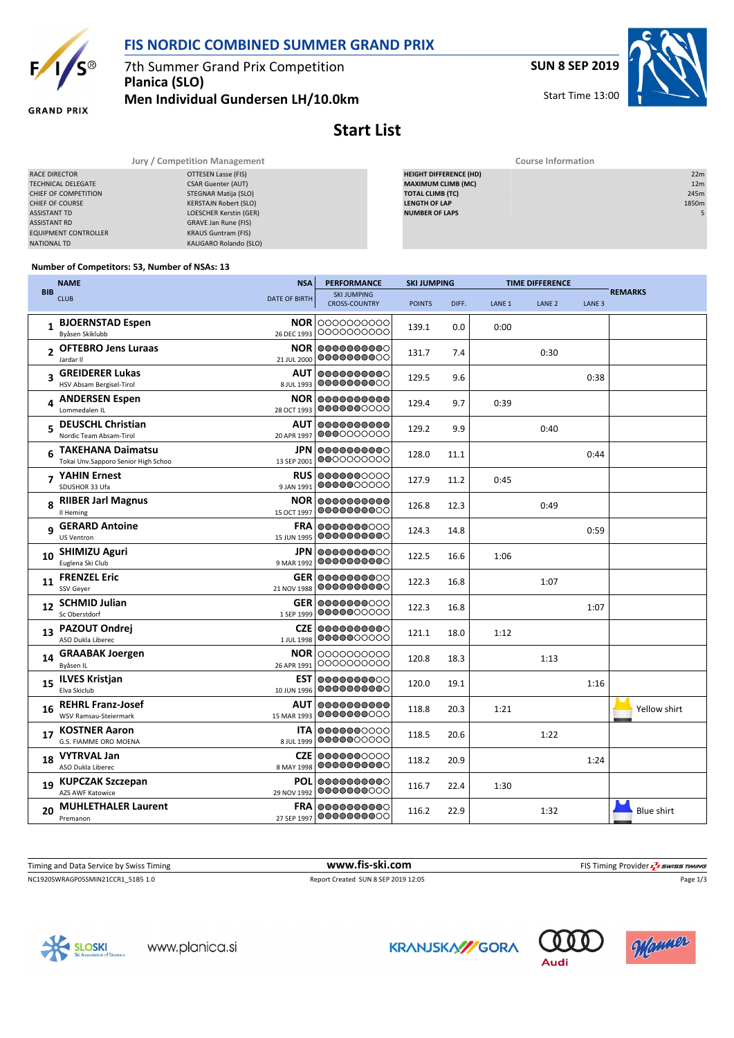

## **FIS NORDIC COMBINED SUMMER GRAND PRIX**

7th Summer Grand Prix Competition **Planica (SLO)**

**Men Individual Gundersen LH/10.0km**

**SUN 8 SEP 2019**

Start Time 13:00

**Course Information** 



**GRAND PRIX** 

## **Start List**

|                             | Jury / Competition Management | Course Information            |                 |  |  |  |  |
|-----------------------------|-------------------------------|-------------------------------|-----------------|--|--|--|--|
| RACE DIRECTOR               | OTTESEN Lasse (FIS)           | <b>HEIGHT DIFFERENCE (HD)</b> | 22m             |  |  |  |  |
| TECHNICAL DELEGATE          | <b>CSAR Guenter (AUT)</b>     | <b>MAXIMUM CLIMB (MC)</b>     | 12 <sub>m</sub> |  |  |  |  |
| CHIEF OF COMPETITION        | STEGNAR Matija (SLO)          | <b>TOTAL CLIMB (TC)</b>       | 245m            |  |  |  |  |
| CHIEF OF COURSE             | <b>KERSTAJN Robert (SLO)</b>  | <b>LENGTH OF LAP</b>          | 1850m           |  |  |  |  |
| <b>ASSISTANT TD</b>         | LOESCHER Kerstin (GER)        | <b>NUMBER OF LAPS</b>         |                 |  |  |  |  |
| <b>ASSISTANT RD</b>         | GRAVE Jan Rune (FIS)          |                               |                 |  |  |  |  |
| <b>EQUIPMENT CONTROLLER</b> | <b>KRAUS Guntram (FIS)</b>    |                               |                 |  |  |  |  |
| <b>NATIONAL TD</b>          | KALIGARO Rolando (SLO)        |                               |                 |  |  |  |  |

| <b>EIGHT DIFFERENCE (HD)</b> |  |
|------------------------------|--|
| <b>IAXIMUM CLIMB (MC)</b>    |  |
| OTAL CLIMB (TC)              |  |
| <b>ENGTH OF LAP</b>          |  |
| <b>UMBER OF LAPS</b>         |  |
|                              |  |

## **Number of Competitors: 53, Number of NSAs: 13**

|                | <b>NAME</b>                                                     | <b>NSA</b>                | <b>PERFORMANCE</b>                         | <b>SKI JUMPING</b> |       | <b>TIME DIFFERENCE</b> |                   |                   |                   |
|----------------|-----------------------------------------------------------------|---------------------------|--------------------------------------------|--------------------|-------|------------------------|-------------------|-------------------|-------------------|
| <b>BIB</b>     | <b>CLUB</b>                                                     | DATE OF BIRTH             | <b>SKI JUMPING</b><br><b>CROSS-COUNTRY</b> | <b>POINTS</b>      | DIFF. | LANE <sub>1</sub>      | LANE <sub>2</sub> | LANE <sub>3</sub> | <b>REMARKS</b>    |
|                | <b>BJOERNSTAD Espen</b><br>Byåsen Skiklubb                      | <b>NOR</b><br>26 DEC 1993 | 0000000000<br>0000000000                   | 139.1              | 0.0   | 0:00                   |                   |                   |                   |
| $\overline{2}$ | <b>OFTEBRO Jens Luraas</b><br>Jardar II                         | NOR.<br>21 JUL 2000       | 0000000000<br>0000000000                   | 131.7              | 7.4   |                        | 0:30              |                   |                   |
| 3              | <b>GREIDERER Lukas</b><br>HSV Absam Bergisel-Tirol              | AUT<br>8 JUL 1993         | 0000000000<br>0000000000                   | 129.5              | 9.6   |                        |                   | 0:38              |                   |
|                | 4 ANDERSEN Espen<br>Lommedalen IL                               | <b>NOR</b><br>28 OCT 1993 | 0000000000<br>0000000000                   | 129.4              | 9.7   | 0:39                   |                   |                   |                   |
| 5              | <b>DEUSCHL Christian</b><br>Nordic Team Absam-Tirol             | AUT<br>20 APR 1997        | 0000000000<br>0000000000                   | 129.2              | 9.9   |                        | 0:40              |                   |                   |
| 6              | <b>TAKEHANA Daimatsu</b><br>Tokai Unv.Sapporo Senior High Schoo | JPN.<br>13 SEP 2001       | 0000000000<br>0000000000                   | 128.0              | 11.1  |                        |                   | 0:44              |                   |
| $\overline{ }$ | YAHIN Ernest<br>SDUSHOR 33 Ufa                                  | <b>RUS</b><br>9 JAN 1991  | 0000000000<br>0000000000                   | 127.9              | 11.2  | 0:45                   |                   |                   |                   |
|                | 8 RIIBER Jarl Magnus<br>Il Heming                               | <b>NOR</b><br>15 OCT 1997 | 0000000000<br>0000000000                   | 126.8              | 12.3  |                        | 0:49              |                   |                   |
| 9              | <b>GERARD Antoine</b><br><b>US Ventron</b>                      | <b>FRA</b><br>15 JUN 1995 | 0000000000<br>0000000000                   | 124.3              | 14.8  |                        |                   | 0:59              |                   |
| 10             | <b>SHIMIZU Aguri</b><br>Euglena Ski Club                        | JPN.<br>9 MAR 1992        | 0000000000<br>0000000000                   | 122.5              | 16.6  | 1:06                   |                   |                   |                   |
| 11             | <b>FRENZEL Eric</b><br>SSV Geyer                                | <b>GER</b><br>21 NOV 1988 | 0000000000<br>0000000000                   | 122.3              | 16.8  |                        | 1:07              |                   |                   |
| 12             | <b>SCHMID Julian</b><br>Sc Oberstdorf                           | <b>GER</b><br>1 SEP 1999  | 0000000000<br>0000000000                   | 122.3              | 16.8  |                        |                   | 1:07              |                   |
|                | 13 PAZOUT Ondrej<br>ASO Dukla Liberec                           | <b>CZE</b><br>1 JUL 1998  | 0000000000<br>0000000000                   | 121.1              | 18.0  | 1:12                   |                   |                   |                   |
| 14             | <b>GRAABAK Joergen</b><br>Byåsen IL                             | <b>NOR</b><br>26 APR 1991 | 0000000000<br>0000000000                   | 120.8              | 18.3  |                        | 1:13              |                   |                   |
| 15             | <b>ILVES Kristjan</b><br>Elva Skiclub                           | EST.<br>10 JUN 1996       | 0000000000<br>0000000000                   | 120.0              | 19.1  |                        |                   | 1:16              |                   |
| 16             | <b>REHRL Franz-Josef</b><br>WSV Ramsau-Steiermark               | <b>AUT</b><br>15 MAR 1993 | 0000000000<br>0000000000                   | 118.8              | 20.3  | 1:21                   |                   |                   | Yellow shirt      |
| 17             | <b>KOSTNER Aaron</b><br>G.S. FIAMME ORO MOENA                   | ITA.<br>8 JUL 1999        | 0000000000<br>0000000000                   | 118.5              | 20.6  |                        | 1:22              |                   |                   |
| 18             | <b>VYTRVAL Jan</b><br>ASO Dukla Liberec                         | <b>CZE</b><br>8 MAY 1998  | 0000000000<br>0000000000                   | 118.2              | 20.9  |                        |                   | 1:24              |                   |
| 19             | <b>KUPCZAK Szczepan</b><br><b>AZS AWF Katowice</b>              | <b>POL</b><br>29 NOV 1992 | 0000000000<br>0000000000                   | 116.7              | 22.4  | 1:30                   |                   |                   |                   |
| 20             | <b>MUHLETHALER Laurent</b><br>Premanon                          | <b>FRA</b><br>27 SEP 1997 | 0000000000<br>0000000000                   | 116.2              | 22.9  |                        | 1:32              |                   | <b>Blue shirt</b> |

NC1920SWRAGP05SMIN21CCR1\_51B5 1.0 Report Created SUN 8 SEP 2019 12:05 Page 1/3 Timing and Data Service by Swiss Timing **www.fis-ski.com www.fis-ski.com** FIS Timing Provider  $\frac{7}{2}$  SWISS TIMING







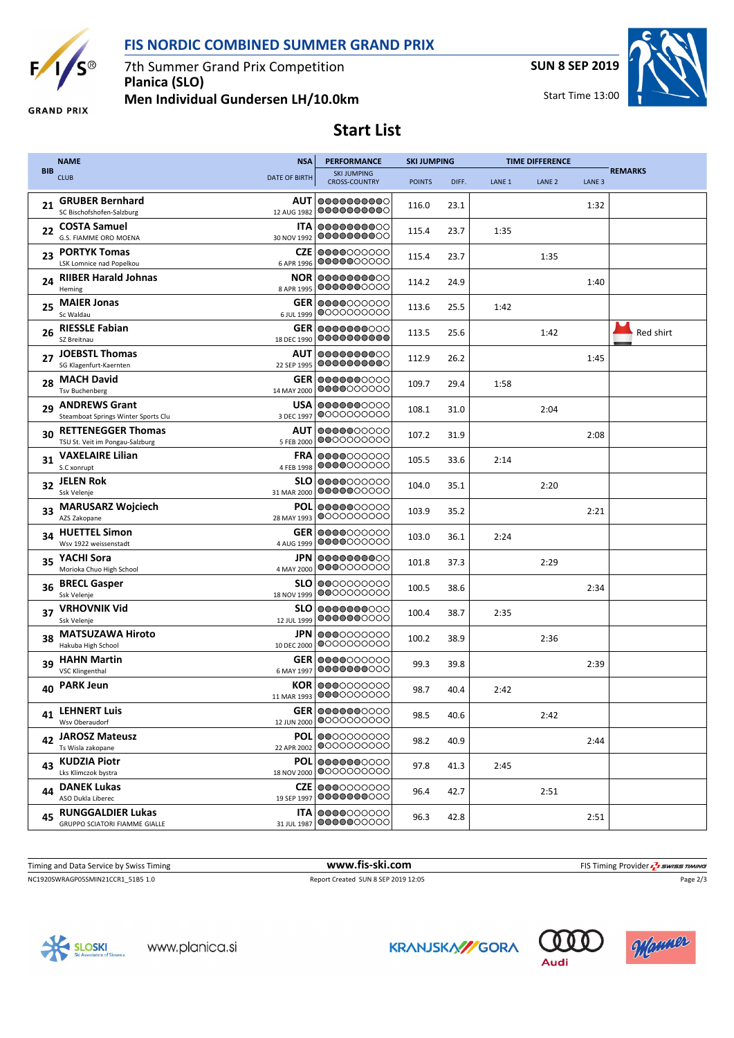



7th Summer Grand Prix Competition **Planica (SLO) Men Individual Gundersen LH/10.0km** **SUN 8 SEP 2019**

Start Time 13:00



**GRAND PRIX** 

**Start List**

|            | <b>NAME</b>                                                      | <b>NSA</b>                | <b>PERFORMANCE</b>                         | <b>SKI JUMPING</b> |       | <b>TIME DIFFERENCE</b> |                   |                   |                |
|------------|------------------------------------------------------------------|---------------------------|--------------------------------------------|--------------------|-------|------------------------|-------------------|-------------------|----------------|
| <b>BIB</b> | <b>CLUB</b>                                                      | <b>DATE OF BIRTH</b>      | <b>SKI JUMPING</b><br><b>CROSS-COUNTRY</b> | <b>POINTS</b>      | DIFF. | LANE <sub>1</sub>      | LANE <sub>2</sub> | LANE <sub>3</sub> | <b>REMARKS</b> |
| 21         | <b>GRUBER Bernhard</b><br>SC Bischofshofen-Salzburg              | AUT<br>12 AUG 1982        | 0000000000<br>0000000000                   | 116.0              | 23.1  |                        |                   | 1:32              |                |
|            | 22 COSTA Samuel<br>G.S. FIAMME ORO MOENA                         | <b>ITA</b><br>30 NOV 1992 | 0000000000<br>0000000000                   | 115.4              | 23.7  | 1:35                   |                   |                   |                |
| 23         | <b>PORTYK Tomas</b><br>LSK Lomnice nad Popelkou                  | CZE<br>6 APR 1996         | 0000000000<br>0000000000                   | 115.4              | 23.7  |                        | 1:35              |                   |                |
| 24         | <b>RIIBER Harald Johnas</b><br>Heming                            | <b>NOR</b><br>8 APR 1995  | 0000000000<br>0000000000                   | 114.2              | 24.9  |                        |                   | 1:40              |                |
| 25         | <b>MAIER Jonas</b><br>Sc Waldau                                  | GER<br>6 JUL 1999         | 0000000000<br>$\bigcirc$ 000000000         | 113.6              | 25.5  | 1:42                   |                   |                   |                |
| 26         | <b>RIESSLE Fabian</b><br>SZ Breitnau                             | GER<br>18 DEC 1990        | 0000000000<br>0000000000                   | 113.5              | 25.6  |                        | 1:42              |                   | Red shirt      |
| 27         | <b>JOEBSTL Thomas</b><br>SG Klagenfurt-Kaernten                  | AUT<br>22 SEP 1995        | 0000000000<br>0000000000                   | 112.9              | 26.2  |                        |                   | 1:45              |                |
| 28         | <b>MACH David</b><br><b>Tsv Buchenberg</b>                       | GER<br>14 MAY 2000        | 0000000000<br>0000000000                   | 109.7              | 29.4  | 1:58                   |                   |                   |                |
| 29         | <b>ANDREWS Grant</b><br>Steamboat Springs Winter Sports Clu      | <b>USA</b><br>3 DEC 1997  | 0000000000<br>@0000000000                  | 108.1              | 31.0  |                        | 2:04              |                   |                |
| 30         | <b>RETTENEGGER Thomas</b><br>TSU St. Veit im Pongau-Salzburg     | AUT<br>5 FEB 2000         | 0000000000<br>0000000000                   | 107.2              | 31.9  |                        |                   | 2:08              |                |
| 31         | <b>VAXELAIRE Lilian</b><br>S.C xonrupt                           | FRA<br>4 FEB 1998         | 0000000000<br>0000000000                   | 105.5              | 33.6  | 2:14                   |                   |                   |                |
| 32         | <b>JELEN Rok</b><br>Ssk Velenje                                  | <b>SLO</b><br>31 MAR 2000 | 0000000000<br>0000000000                   | 104.0              | 35.1  |                        | 2:20              |                   |                |
| 33         | <b>MARUSARZ Wojciech</b><br>AZS Zakopane                         | <b>POL</b><br>28 MAY 1993 | 0000000000<br>0000000000                   | 103.9              | 35.2  |                        |                   | 2:21              |                |
| 34         | <b>HUETTEL Simon</b><br>Wsv 1922 weissenstadt                    | GER<br>4 AUG 1999         | 0000000000<br>0000000000                   | 103.0              | 36.1  | 2:24                   |                   |                   |                |
| 35         | YACHI Sora<br>Morioka Chuo High School                           | <b>JPN</b><br>4 MAY 2000  | 0000000000<br>0000000000                   | 101.8              | 37.3  |                        | 2:29              |                   |                |
| 36         | <b>BRECL Gasper</b><br>Ssk Velenje                               | <b>SLO</b><br>18 NOV 1999 | 0000000000<br>000000000                    | 100.5              | 38.6  |                        |                   | 2:34              |                |
| 37         | <b>VRHOVNIK Vid</b><br>Ssk Velenje                               | <b>SLO</b><br>12 JUL 1999 | 0000000000<br>0000000000                   | 100.4              | 38.7  | 2:35                   |                   |                   |                |
|            | <b>MATSUZAWA Hiroto</b><br>Hakuba High School                    | JPN<br>10 DEC 2000        | 0000000000<br>$\bigcirc$ 000000000         | 100.2              | 38.9  |                        | 2:36              |                   |                |
| 39         | <b>HAHN Martin</b><br><b>VSC Klingenthal</b>                     | GER<br>6 MAY 1997         | 0000000000<br>0000000000                   | 99.3               | 39.8  |                        |                   | 2:39              |                |
| 40         | <b>PARK Jeun</b>                                                 | <b>KOR</b><br>11 MAR 1993 | 0000000000<br>0000000000                   | 98.7               | 40.4  | 2:42                   |                   |                   |                |
| 41         | <b>LEHNERT Luis</b><br>Wsv Oberaudorf                            | 12 JUN 2000               | <b>GER 0000000000</b><br>0000000000        | 98.5               | 40.6  |                        | 2:42              |                   |                |
| 42         | <b>JAROSZ Mateusz</b><br>Ts Wisla zakopane                       | POL<br>22 APR 2002        | 0000000000<br>$\bigcirc$ 000000000         | 98.2               | 40.9  |                        |                   | 2:44              |                |
| 43         | <b>KUDZIA Piotr</b><br>Lks Klimczok bystra                       | POL<br>18 NOV 2000        | 0000000000<br>0000000000                   | 97.8               | 41.3  | 2:45                   |                   |                   |                |
| 44         | <b>DANEK Lukas</b><br>ASO Dukla Liberec                          | <b>CZE</b><br>19 SEP 1997 | 0000000000<br>0000000000                   | 96.4               | 42.7  |                        | 2:51              |                   |                |
| 45         | <b>RUNGGALDIER Lukas</b><br><b>GRUPPO SCIATORI FIAMME GIALLE</b> | <b>ITA</b><br>31 JUL 1987 | 0000000000<br>0000000000                   | 96.3               | 42.8  |                        |                   | 2:51              |                |

NC1920SWRAGP05SMIN21CCR1\_51B5 1.0 Report Created SUN 8 SEP 2019 12:05 Page 2/3

Timing and Data Service by Swiss Timing **www.fis-ski.com www.fis-ski.com** FIS Timing Provider  $\frac{7}{2}$  SWISS TIMING



**KRANJSKA//GORA**